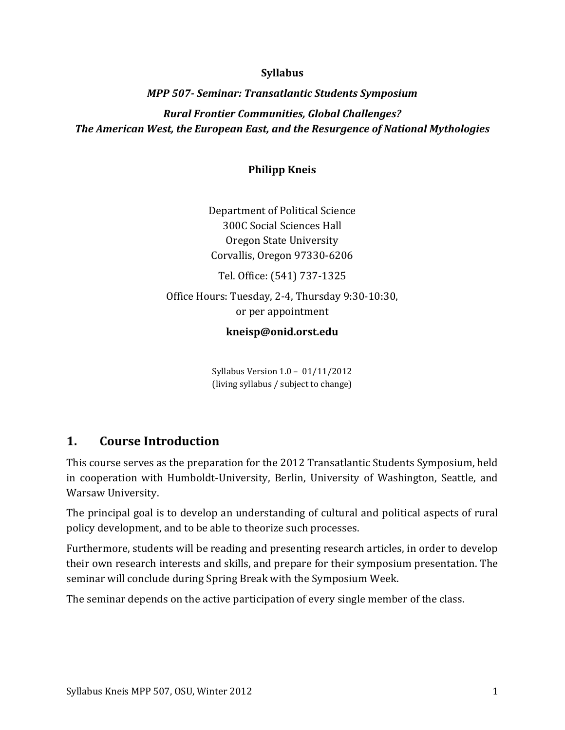### **Syllabus**

# *MPP 507- Seminar: Transatlantic Students Symposium Rural Frontier Communities, Global Challenges? The American West, the European East, and the Resurgence of National Mythologies*

### **Philipp Kneis**

Department of Political Science 300C Social Sciences Hall Oregon State University Corvallis, Oregon 97330-6206 Tel. Office: (541) 737-1325 Office Hours: Tuesday, 2-4, Thursday 9:30-10:30, or per appointment

### **kneisp@onid.orst.edu**

Syllabus Version 1.0 – 01/11/2012 (living syllabus / subject to change)

## **1. Course Introduction**

This course serves as the preparation for the 2012 Transatlantic Students Symposium, held in cooperation with Humboldt-University, Berlin, University of Washington, Seattle, and Warsaw University.

The principal goal is to develop an understanding of cultural and political aspects of rural policy development, and to be able to theorize such processes.

Furthermore, students will be reading and presenting research articles, in order to develop their own research interests and skills, and prepare for their symposium presentation. The seminar will conclude during Spring Break with the Symposium Week.

The seminar depends on the active participation of every single member of the class.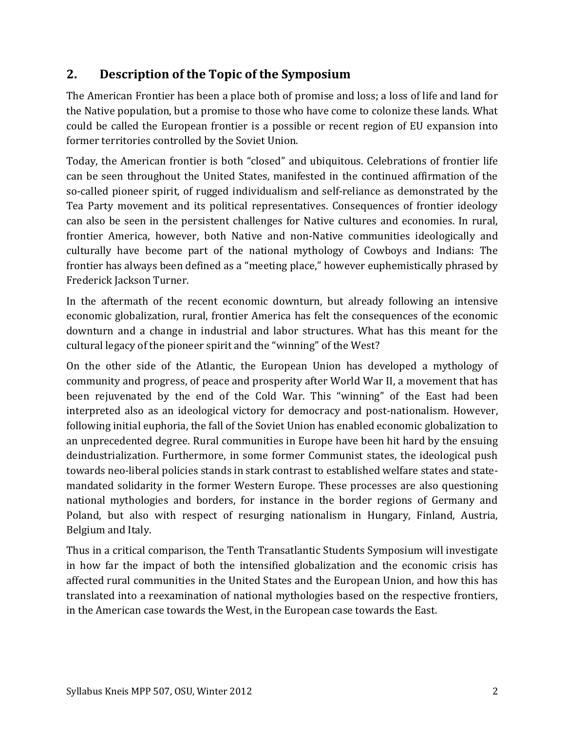# **2. Description of the Topic of the Symposium**

The American Frontier has been a place both of promise and loss; a loss of life and land for the Native population, but a promise to those who have come to colonize these lands. What could be called the European frontier is a possible or recent region of EU expansion into former territories controlled by the Soviet Union.

Today, the American frontier is both "closed" and ubiquitous. Celebrations of frontier life can be seen throughout the United States, manifested in the continued affirmation of the so-called pioneer spirit, of rugged individualism and self-reliance as demonstrated by the Tea Party movement and its political representatives. Consequences of frontier ideology can also be seen in the persistent challenges for Native cultures and economies. In rural, frontier America, however, both Native and non-Native communities ideologically and culturally have become part of the national mythology of Cowboys and Indians: The frontier has always been defined as a "meeting place," however euphemistically phrased by Frederick Jackson Turner.

In the aftermath of the recent economic downturn, but already following an intensive economic globalization, rural, frontier America has felt the consequences of the economic downturn and a change in industrial and labor structures. What has this meant for the cultural legacy of the pioneer spirit and the "winning" of the West?

On the other side of the Atlantic, the European Union has developed a mythology of community and progress, of peace and prosperity after World War II, a movement that has been rejuvenated by the end of the Cold War. This "winning" of the East had been interpreted also as an ideological victory for democracy and post-nationalism. However, following initial euphoria, the fall of the Soviet Union has enabled economic globalization to an unprecedented degree. Rural communities in Europe have been hit hard by the ensuing deindustrialization. Furthermore, in some former Communist states, the ideological push towards neo-liberal policies stands in stark contrast to established welfare states and statemandated solidarity in the former Western Europe. These processes are also questioning national mythologies and borders, for instance in the border regions of Germany and Poland, but also with respect of resurging nationalism in Hungary, Finland, Austria, Belgium and Italy.

Thus in a critical comparison, the Tenth Transatlantic Students Symposium will investigate in how far the impact of both the intensified globalization and the economic crisis has affected rural communities in the United States and the European Union, and how this has translated into a reexamination of national mythologies based on the respective frontiers, in the American case towards the West, in the European case towards the East.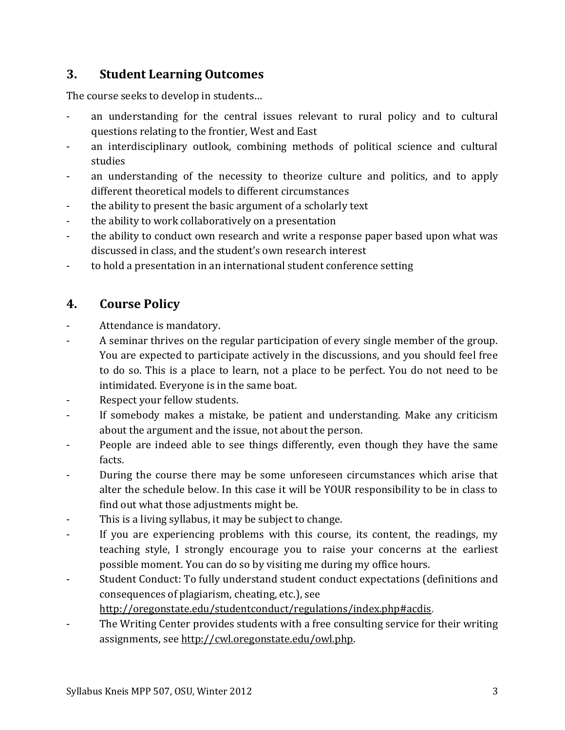## **3. Student Learning Outcomes**

The course seeks to develop in students…

- an understanding for the central issues relevant to rural policy and to cultural questions relating to the frontier, West and East
- an interdisciplinary outlook, combining methods of political science and cultural studies
- an understanding of the necessity to theorize culture and politics, and to apply different theoretical models to different circumstances
- the ability to present the basic argument of a scholarly text
- the ability to work collaboratively on a presentation
- the ability to conduct own research and write a response paper based upon what was discussed in class, and the student's own research interest
- to hold a presentation in an international student conference setting

## **4. Course Policy**

- Attendance is mandatory.
- A seminar thrives on the regular participation of every single member of the group. You are expected to participate actively in the discussions, and you should feel free to do so. This is a place to learn, not a place to be perfect. You do not need to be intimidated. Everyone is in the same boat.
- Respect your fellow students.
- If somebody makes a mistake, be patient and understanding. Make any criticism about the argument and the issue, not about the person.
- People are indeed able to see things differently, even though they have the same facts.
- During the course there may be some unforeseen circumstances which arise that alter the schedule below. In this case it will be YOUR responsibility to be in class to find out what those adjustments might be.
- This is a living syllabus, it may be subject to change.
- If you are experiencing problems with this course, its content, the readings, my teaching style, I strongly encourage you to raise your concerns at the earliest possible moment. You can do so by visiting me during my office hours.
- Student Conduct: To fully understand student conduct expectations (definitions and consequences of plagiarism, cheating, etc.), see

<http://oregonstate.edu/studentconduct/regulations/index.php#acdis>.

The Writing Center provides students with a free consulting service for their writing assignments, see [http://cwl.oregonstate.edu/owl.php.](http://cwl.oregonstate.edu/owl.php)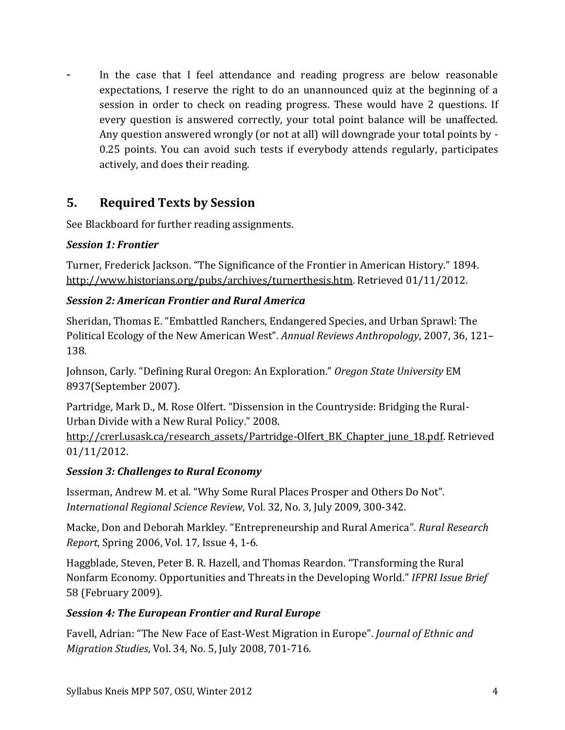- In the case that I feel attendance and reading progress are below reasonable expectations, I reserve the right to do an unannounced quiz at the beginning of a session in order to check on reading progress. These would have 2 questions. If every question is answered correctly, your total point balance will be unaffected. Any question answered wrongly (or not at all) will downgrade your total points by - 0.25 points. You can avoid such tests if everybody attends regularly, participates actively, and does their reading.

## **5. Required Texts by Session**

See Blackboard for further reading assignments.

### *Session 1: Frontier*

Turner, Frederick Jackson. "The Significance of the Frontier in American History." 1894. [http://www.historians.org/pubs/archives/turnerthesis.htm.](http://www.historians.org/pubs/archives/turnerthesis.htm) Retrieved 01/11/2012.

### *Session 2: American Frontier and Rural America*

Sheridan, Thomas E. "Embattled Ranchers, Endangered Species, and Urban Sprawl: The Political Ecology of the New American West". *Annual Reviews Anthropology*, 2007, 36, 121– 138.

Johnson, Carly. "Defining Rural Oregon: An Exploration." *Oregon State University* EM 8937(September 2007).

Partridge, Mark D., M. Rose Olfert. "Dissension in the Countryside: Bridging the Rural-Urban Divide with a New Rural Policy." 2008.

[http://crerl.usask.ca/research\\_assets/Partridge-Olfert\\_BK\\_Chapter\\_june\\_18.pdf.](http://crerl.usask.ca/research_assets/Partridge-Olfert_BK_Chapter_june_18.pdf) Retrieved 01/11/2012.

## *Session 3: Challenges to Rural Economy*

Isserman, Andrew M. et al. "Why Some Rural Places Prosper and Others Do Not". *International Regional Science Review*, Vol. 32, No. 3, July 2009, 300-342.

Macke, Don and Deborah Markley. "Entrepreneurship and Rural America". *Rural Research Report*, Spring 2006, Vol. 17, Issue 4, 1-6.

Haggblade, Steven, Peter B. R. Hazell, and Thomas Reardon. "Transforming the Rural Nonfarm Economy. Opportunities and Threats in the Developing World." *IFPRI Issue Brief*  58 (February 2009).

## *Session 4: The European Frontier and Rural Europe*

Favell, Adrian: "The New Face of East-West Migration in Europe". *Journal of Ethnic and Migration Studies*, Vol. 34, No. 5, July 2008, 701-716.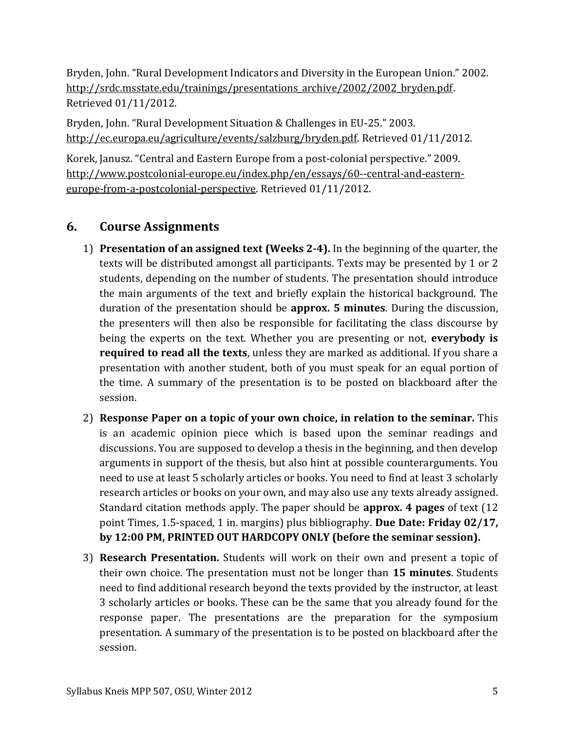Bryden, John. "Rural Development Indicators and Diversity in the European Union." 2002. [http://srdc.msstate.edu/trainings/presentations\\_archive/2002/2002\\_bryden.pdf.](http://srdc.msstate.edu/trainings/presentations_archive/2002/2002_bryden.pdf) Retrieved 01/11/2012.

Bryden, John. "Rural Development Situation & Challenges in EU-25." 2003. [http://ec.europa.eu/agriculture/events/salzburg/bryden.pdf.](http://ec.europa.eu/agriculture/events/salzburg/bryden.pdf) Retrieved 01/11/2012.

Korek, Janusz. "Central and Eastern Europe from a post-colonial perspective." 2009. [http://www.postcolonial-europe.eu/index.php/en/essays/60--central-and-eastern](http://www.postcolonial-europe.eu/index.php/en/essays/60--central-and-eastern-europe-from-a-postcolonial-perspective)[europe-from-a-postcolonial-perspective.](http://www.postcolonial-europe.eu/index.php/en/essays/60--central-and-eastern-europe-from-a-postcolonial-perspective) Retrieved 01/11/2012.

# **6. Course Assignments**

- 1) **Presentation of an assigned text (Weeks 2-4).** In the beginning of the quarter, the texts will be distributed amongst all participants. Texts may be presented by 1 or 2 students, depending on the number of students. The presentation should introduce the main arguments of the text and briefly explain the historical background. The duration of the presentation should be **approx. 5 minutes**. During the discussion, the presenters will then also be responsible for facilitating the class discourse by being the experts on the text. Whether you are presenting or not, **everybody is required to read all the texts**, unless they are marked as additional. If you share a presentation with another student, both of you must speak for an equal portion of the time. A summary of the presentation is to be posted on blackboard after the session.
- 2) **Response Paper on a topic of your own choice, in relation to the seminar.** This is an academic opinion piece which is based upon the seminar readings and discussions. You are supposed to develop a thesis in the beginning, and then develop arguments in support of the thesis, but also hint at possible counterarguments. You need to use at least 5 scholarly articles or books. You need to find at least 3 scholarly research articles or books on your own, and may also use any texts already assigned. Standard citation methods apply. The paper should be **approx. 4 pages** of text (12 point Times, 1.5-spaced, 1 in. margins) plus bibliography. **Due Date: Friday 02/17, by 12:00 PM, PRINTED OUT HARDCOPY ONLY (before the seminar session).**
- 3) **Research Presentation.** Students will work on their own and present a topic of their own choice. The presentation must not be longer than **15 minutes**. Students need to find additional research beyond the texts provided by the instructor, at least 3 scholarly articles or books. These can be the same that you already found for the response paper. The presentations are the preparation for the symposium presentation. A summary of the presentation is to be posted on blackboard after the session.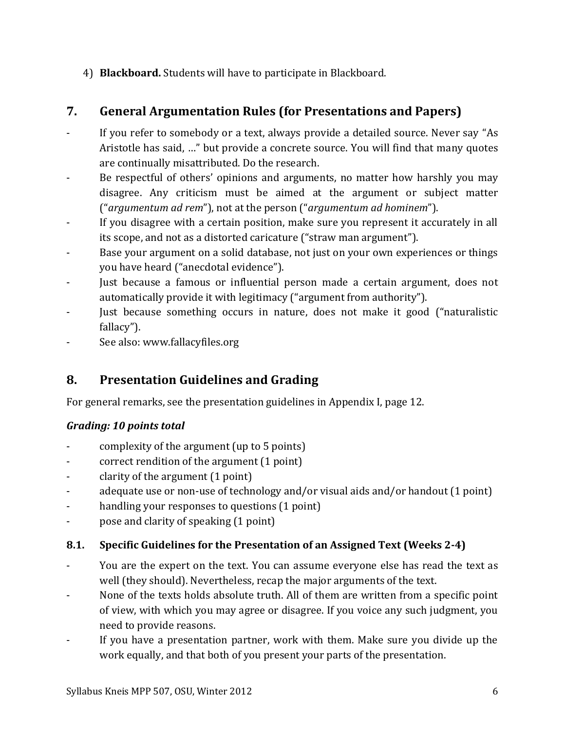4) **Blackboard.** Students will have to participate in Blackboard.

# **7. General Argumentation Rules (for Presentations and Papers)**

- If you refer to somebody or a text, always provide a detailed source. Never say "As Aristotle has said, …" but provide a concrete source. You will find that many quotes are continually misattributed. Do the research.
- Be respectful of others' opinions and arguments, no matter how harshly you may disagree. Any criticism must be aimed at the argument or subject matter ("*argumentum ad rem*"), not at the person ("*argumentum ad hominem*").
- If you disagree with a certain position, make sure you represent it accurately in all its scope, and not as a distorted caricature ("straw man argument").
- Base your argument on a solid database, not just on your own experiences or things you have heard ("anecdotal evidence").
- Just because a famous or influential person made a certain argument, does not automatically provide it with legitimacy ("argument from authority").
- Just because something occurs in nature, does not make it good ("naturalistic fallacy").
- See also: www.fallacyfiles.org

# **8. Presentation Guidelines and Grading**

For general remarks, see the presentation guidelines in Appendix I, page [12.](#page-11-0)

## *Grading: 10 points total*

- complexity of the argument (up to 5 points)
- correct rendition of the argument (1 point)
- clarity of the argument (1 point)
- adequate use or non-use of technology and/or visual aids and/or handout (1 point)
- handling your responses to questions (1 point)
- pose and clarity of speaking (1 point)

## **8.1. Specific Guidelines for the Presentation of an Assigned Text (Weeks 2-4)**

- You are the expert on the text. You can assume everyone else has read the text as well (they should). Nevertheless, recap the major arguments of the text.
- None of the texts holds absolute truth. All of them are written from a specific point of view, with which you may agree or disagree. If you voice any such judgment, you need to provide reasons.
- If you have a presentation partner, work with them. Make sure you divide up the work equally, and that both of you present your parts of the presentation.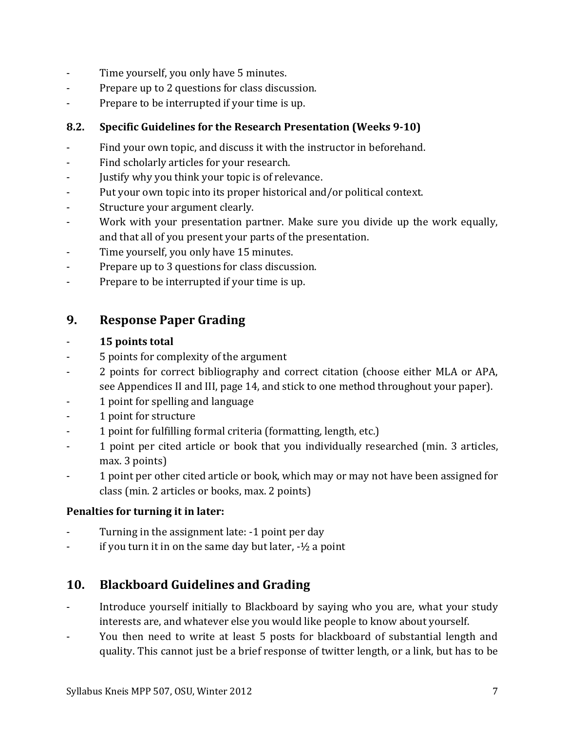- Time yourself, you only have 5 minutes.
- Prepare up to 2 questions for class discussion.
- Prepare to be interrupted if your time is up.

## **8.2. Specific Guidelines for the Research Presentation (Weeks 9-10)**

- Find your own topic, and discuss it with the instructor in beforehand.
- Find scholarly articles for your research.
- Justify why you think your topic is of relevance.
- Put your own topic into its proper historical and/or political context.
- Structure your argument clearly.
- Work with your presentation partner. Make sure you divide up the work equally, and that all of you present your parts of the presentation.
- Time yourself, you only have 15 minutes.
- Prepare up to 3 questions for class discussion.
- Prepare to be interrupted if your time is up.

## **9. Response Paper Grading**

## - **15 points total**

- 5 points for complexity of the argument
- 2 points for correct bibliography and correct citation (choose either MLA or APA, see Appendices II and III, page [14,](#page-13-0) and stick to one method throughout your paper).
- 1 point for spelling and language
- 1 point for structure
- 1 point for fulfilling formal criteria (formatting, length, etc.)
- 1 point per cited article or book that you individually researched (min. 3 articles, max. 3 points)
- 1 point per other cited article or book, which may or may not have been assigned for class (min. 2 articles or books, max. 2 points)

## **Penalties for turning it in later:**

- Turning in the assignment late: -1 point per day
- $-$  if you turn it in on the same day but later,  $\frac{1}{2}$  a point

# **10. Blackboard Guidelines and Grading**

- Introduce yourself initially to Blackboard by saying who you are, what your study interests are, and whatever else you would like people to know about yourself.
- You then need to write at least 5 posts for blackboard of substantial length and quality. This cannot just be a brief response of twitter length, or a link, but has to be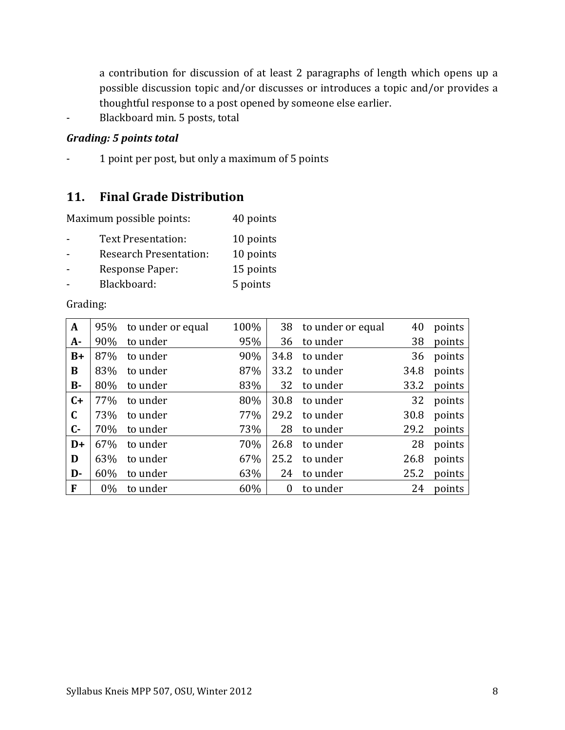a contribution for discussion of at least 2 paragraphs of length which opens up a possible discussion topic and/or discusses or introduces a topic and/or provides a thoughtful response to a post opened by someone else earlier.

- Blackboard min. 5 posts, total

### *Grading: 5 points total*

1 point per post, but only a maximum of 5 points

## **11. Final Grade Distribution**

| Maximum possible points: |  |  | 40 points |
|--------------------------|--|--|-----------|
|--------------------------|--|--|-----------|

| Text Presentation: | 10 points |
|--------------------|-----------|
|                    |           |

- Research Presentation: 10 points
- Response Paper: 15 points
- Blackboard: 5 points

### Grading:

| $\mathbf{A}$ | 95%   | to under or equal | 100% | 38             | to under or equal | 40   | points |
|--------------|-------|-------------------|------|----------------|-------------------|------|--------|
| $A -$        | 90%   | to under          | 95%  | 36             | to under          | 38   | points |
| $B+$         | 87%   | to under          | 90%  | 34.8           | to under          | 36   | points |
| B            | 83%   | to under          | 87%  | 33.2           | to under          | 34.8 | points |
| <b>B-</b>    | 80%   | to under          | 83%  | 32             | to under          | 33.2 | points |
| $C+$         | 77%   | to under          | 80%  | 30.8           | to under          | 32   | points |
| $\mathbf C$  | 73%   | to under          | 77%  | 29.2           | to under          | 30.8 | points |
| $C -$        | 70%   | to under          | 73%  | 28             | to under          | 29.2 | points |
| $D+$         | 67%   | to under          | 70%  | 26.8           | to under          | 28   | points |
| D            | 63%   | to under          | 67%  | 25.2           | to under          | 26.8 | points |
| D-           | 60%   | to under          | 63%  | 24             | to under          | 25.2 | points |
| F            | $0\%$ | to under          | 60%  | $\overline{0}$ | to under          | 24   | points |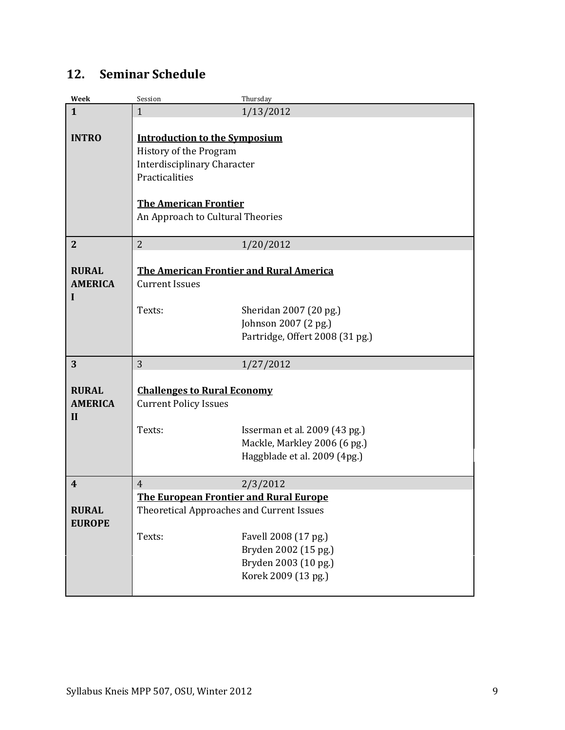# **12. Seminar Schedule**

| Week                    | Session                                   | Thursday                                    |  |
|-------------------------|-------------------------------------------|---------------------------------------------|--|
| $\mathbf{1}$            | $\mathbf{1}$                              | 1/13/2012                                   |  |
|                         |                                           |                                             |  |
| <b>INTRO</b>            | <b>Introduction to the Symposium</b>      |                                             |  |
|                         | History of the Program                    |                                             |  |
|                         | <b>Interdisciplinary Character</b>        |                                             |  |
|                         | Practicalities                            |                                             |  |
|                         |                                           |                                             |  |
|                         | <b>The American Frontier</b>              |                                             |  |
|                         | An Approach to Cultural Theories          |                                             |  |
|                         |                                           |                                             |  |
| $\overline{2}$          | $\overline{2}$                            | 1/20/2012                                   |  |
|                         |                                           |                                             |  |
| <b>RURAL</b>            | The American Frontier and Rural America   |                                             |  |
| <b>AMERICA</b>          | <b>Current Issues</b>                     |                                             |  |
| I                       |                                           |                                             |  |
|                         | Texts:                                    | Sheridan 2007 (20 pg.)                      |  |
|                         |                                           | Johnson 2007 (2 pg.)                        |  |
|                         |                                           | Partridge, Offert 2008 (31 pg.)             |  |
|                         |                                           |                                             |  |
| 3                       | 3                                         | 1/27/2012                                   |  |
|                         |                                           |                                             |  |
| <b>RURAL</b>            | <b>Challenges to Rural Economy</b>        |                                             |  |
| <b>AMERICA</b>          | <b>Current Policy Issues</b>              |                                             |  |
| $\mathbf{I}$            |                                           |                                             |  |
|                         | Texts:                                    | Isserman et al. 2009 (43 pg.)               |  |
|                         |                                           | Mackle, Markley 2006 (6 pg.)                |  |
|                         |                                           | Haggblade et al. 2009 (4pg.)                |  |
|                         |                                           |                                             |  |
| $\overline{\mathbf{4}}$ | $\overline{4}$                            | 2/3/2012                                    |  |
|                         | The European Frontier and Rural Europe    |                                             |  |
| <b>RURAL</b>            | Theoretical Approaches and Current Issues |                                             |  |
| <b>EUROPE</b>           |                                           |                                             |  |
|                         | Texts:                                    | Favell 2008 (17 pg.)                        |  |
|                         |                                           |                                             |  |
|                         |                                           |                                             |  |
|                         |                                           | Bryden 2002 (15 pg.)                        |  |
|                         |                                           | Bryden 2003 (10 pg.)<br>Korek 2009 (13 pg.) |  |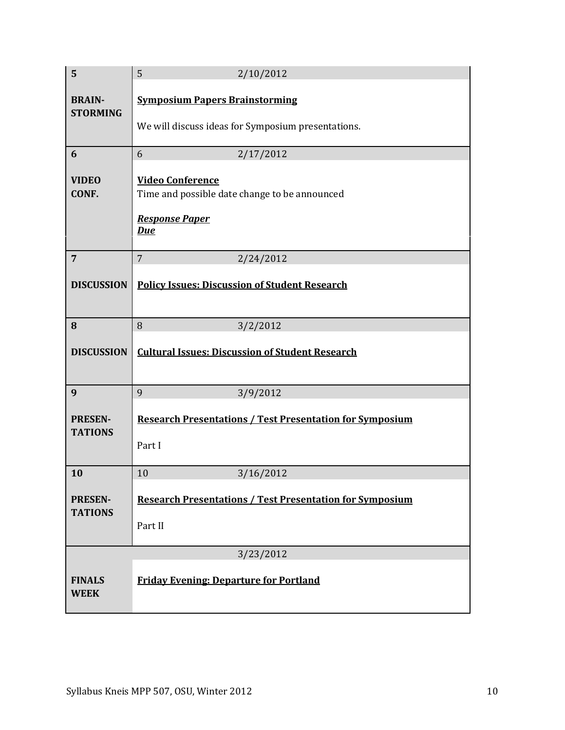| 5                                | 5<br>2/10/2012                                                                              |  |  |
|----------------------------------|---------------------------------------------------------------------------------------------|--|--|
| <b>BRAIN-</b><br><b>STORMING</b> | <b>Symposium Papers Brainstorming</b><br>We will discuss ideas for Symposium presentations. |  |  |
| 6                                | 6<br>2/17/2012                                                                              |  |  |
| <b>VIDEO</b><br>CONF.            | <b>Video Conference</b><br>Time and possible date change to be announced                    |  |  |
|                                  | <b>Response Paper</b><br><b>Due</b>                                                         |  |  |
| $\overline{7}$                   | $\overline{7}$<br>2/24/2012                                                                 |  |  |
| <b>DISCUSSION</b>                | <b>Policy Issues: Discussion of Student Research</b>                                        |  |  |
| 8                                | 8<br>3/2/2012                                                                               |  |  |
| <b>DISCUSSION</b>                | <b>Cultural Issues: Discussion of Student Research</b>                                      |  |  |
| 9                                | 9<br>3/9/2012                                                                               |  |  |
| <b>PRESEN-</b><br><b>TATIONS</b> | <b>Research Presentations / Test Presentation for Symposium</b><br>Part I                   |  |  |
| 10                               | 10<br>3/16/2012                                                                             |  |  |
| <b>PRESEN-</b><br><b>TATIONS</b> | <b>Research Presentations / Test Presentation for Symposium</b><br>Part II                  |  |  |
|                                  | 3/23/2012                                                                                   |  |  |
| <b>FINALS</b><br><b>WEEK</b>     | <b>Friday Evening: Departure for Portland</b>                                               |  |  |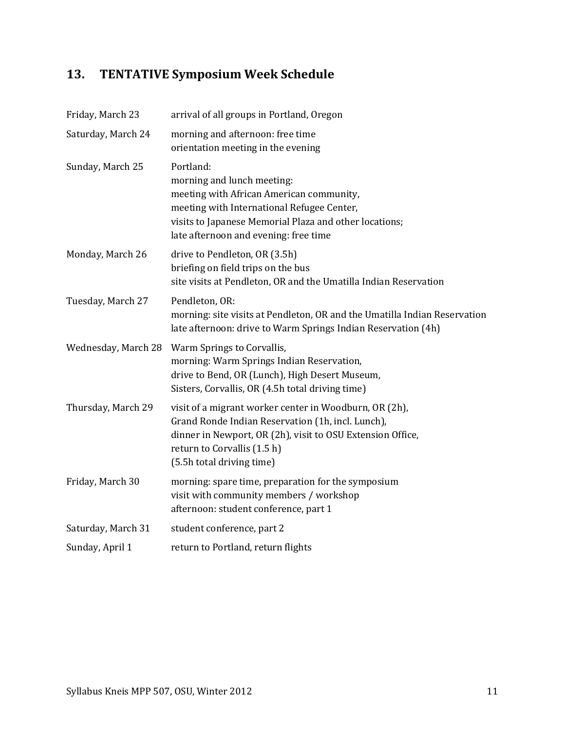# **13. TENTATIVE Symposium Week Schedule**

| Friday, March 23    | arrival of all groups in Portland, Oregon                                                                                                                                                                                             |
|---------------------|---------------------------------------------------------------------------------------------------------------------------------------------------------------------------------------------------------------------------------------|
| Saturday, March 24  | morning and afternoon: free time<br>orientation meeting in the evening                                                                                                                                                                |
| Sunday, March 25    | Portland:<br>morning and lunch meeting:<br>meeting with African American community,<br>meeting with International Refugee Center,<br>visits to Japanese Memorial Plaza and other locations;<br>late afternoon and evening: free time  |
| Monday, March 26    | drive to Pendleton, OR (3.5h)<br>briefing on field trips on the bus<br>site visits at Pendleton, OR and the Umatilla Indian Reservation                                                                                               |
| Tuesday, March 27   | Pendleton, OR:<br>morning: site visits at Pendleton, OR and the Umatilla Indian Reservation<br>late afternoon: drive to Warm Springs Indian Reservation (4h)                                                                          |
| Wednesday, March 28 | Warm Springs to Corvallis,<br>morning: Warm Springs Indian Reservation,<br>drive to Bend, OR (Lunch), High Desert Museum,<br>Sisters, Corvallis, OR (4.5h total driving time)                                                         |
| Thursday, March 29  | visit of a migrant worker center in Woodburn, OR (2h),<br>Grand Ronde Indian Reservation (1h, incl. Lunch),<br>dinner in Newport, OR (2h), visit to OSU Extension Office,<br>return to Corvallis (1.5 h)<br>(5.5h total driving time) |
| Friday, March 30    | morning: spare time, preparation for the symposium<br>visit with community members / workshop<br>afternoon: student conference, part 1                                                                                                |
| Saturday, March 31  | student conference, part 2                                                                                                                                                                                                            |
| Sunday, April 1     | return to Portland, return flights                                                                                                                                                                                                    |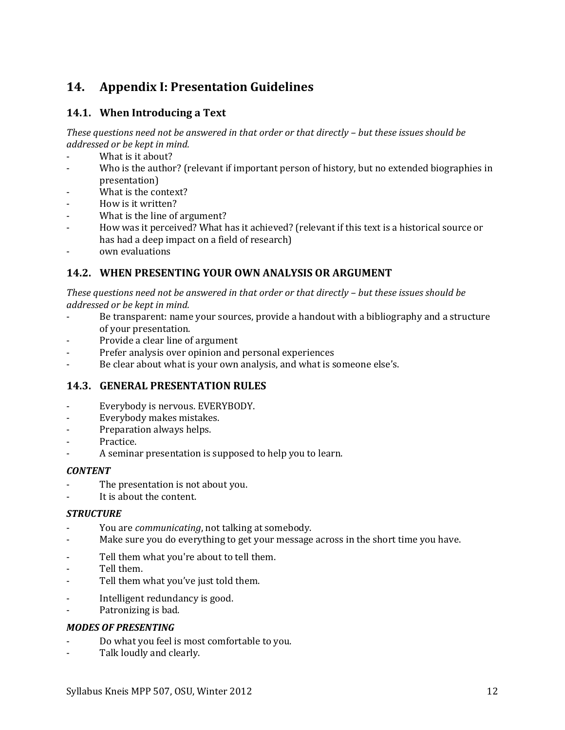# <span id="page-11-0"></span>**14. Appendix I: Presentation Guidelines**

## **14.1. When Introducing a Text**

*These questions need not be answered in that order or that directly – but these issues should be addressed or be kept in mind.*

- What is it about?
- Who is the author? (relevant if important person of history, but no extended biographies in presentation)
- What is the context?
- How is it written?
- What is the line of argument?
- How was it perceived? What has it achieved? (relevant if this text is a historical source or has had a deep impact on a field of research)
- own evaluations

## **14.2. WHEN PRESENTING YOUR OWN ANALYSIS OR ARGUMENT**

*These questions need not be answered in that order or that directly – but these issues should be addressed or be kept in mind.*

- Be transparent: name your sources, provide a handout with a bibliography and a structure of your presentation.
- Provide a clear line of argument
- Prefer analysis over opinion and personal experiences
- Be clear about what is your own analysis, and what is someone else's.

## **14.3. GENERAL PRESENTATION RULES**

- Everybody is nervous. EVERYBODY.
- Everybody makes mistakes.
- Preparation always helps.
- Practice.
- A seminar presentation is supposed to help you to learn.

### *CONTENT*

- The presentation is not about you.
- It is about the content.

### *STRUCTURE*

- You are *communicating*, not talking at somebody.
- Make sure you do everything to get your message across in the short time you have.
- Tell them what you're about to tell them.
- Tell them.
- Tell them what you've just told them.
- Intelligent redundancy is good.
- Patronizing is bad.

### *MODES OF PRESENTING*

- Do what you feel is most comfortable to you.
- Talk loudly and clearly.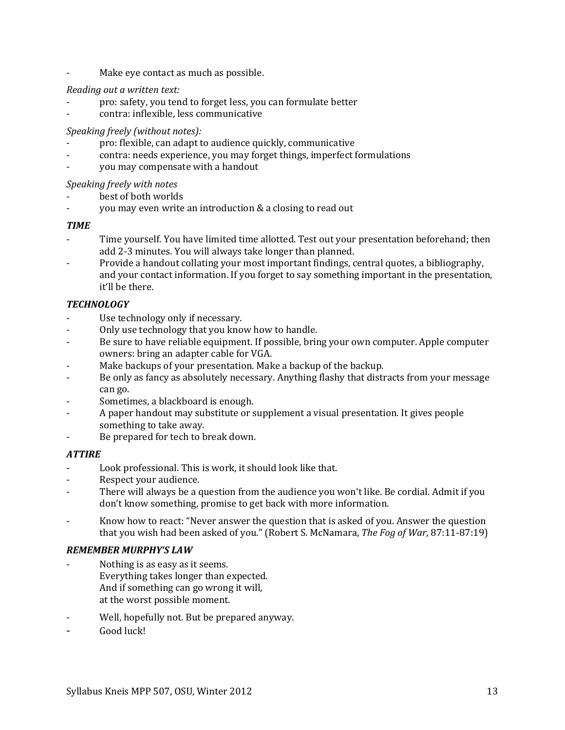Make eye contact as much as possible.

### *Reading out a written text:*

- pro: safety, you tend to forget less, you can formulate better
- contra: inflexible, less communicative

### *Speaking freely (without notes):*

- pro: flexible, can adapt to audience quickly, communicative
- contra: needs experience, you may forget things, imperfect formulations
- you may compensate with a handout

### *Speaking freely with notes*

- best of both worlds
- you may even write an introduction & a closing to read out

### *TIME*

- Time yourself. You have limited time allotted. Test out your presentation beforehand; then add 2-3 minutes. You will always take longer than planned.
- Provide a handout collating your most important findings, central quotes, a bibliography, and your contact information. If you forget to say something important in the presentation, it'll be there.

### *TECHNOLOGY*

- Use technology only if necessary.
- Only use technology that you know how to handle.
- Be sure to have reliable equipment. If possible, bring your own computer. Apple computer owners: bring an adapter cable for VGA.
- Make backups of your presentation. Make a backup of the backup.
- Be only as fancy as absolutely necessary. Anything flashy that distracts from your message can go.
- Sometimes, a blackboard is enough.
- A paper handout may substitute or supplement a visual presentation. It gives people something to take away.
- Be prepared for tech to break down.

### *ATTIRE*

- Look professional. This is work, it should look like that.
- Respect your audience.
- There will always be a question from the audience you won't like. Be cordial. Admit if you don't know something, promise to get back with more information.
- Know how to react: "Never answer the question that is asked of you. Answer the question that you wish had been asked of you." (Robert S. McNamara, *The Fog of War*, 87:11-87:19)

### *REMEMBER MURPHY'S LAW*

- Nothing is as easy as it seems. Everything takes longer than expected. And if something can go wrong it will, at the worst possible moment.
- Well, hopefully not. But be prepared anyway.
- Good luck!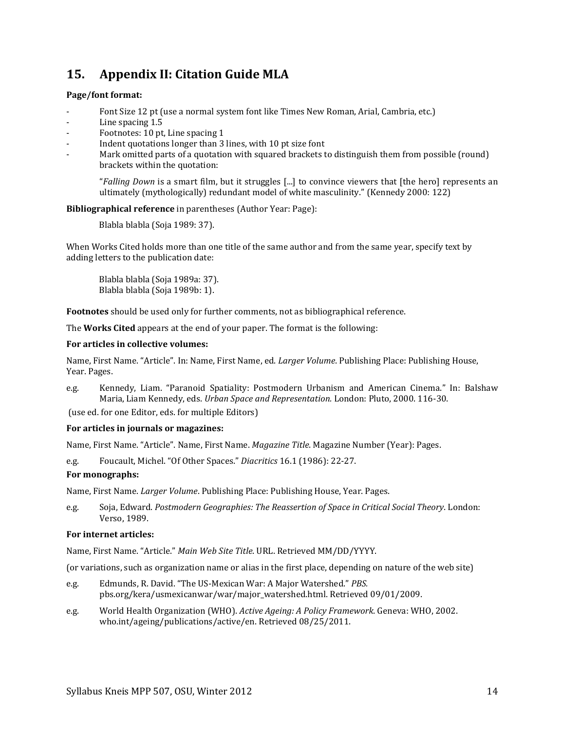## <span id="page-13-0"></span>**15. Appendix II: Citation Guide MLA**

### **Page/font format:**

- Font Size 12 pt (use a normal system font like Times New Roman, Arial, Cambria, etc.)
- Line spacing 1.5
- Footnotes: 10 pt, Line spacing 1
- Indent quotations longer than 3 lines, with 10 pt size font
- Mark omitted parts of a quotation with squared brackets to distinguish them from possible (round) brackets within the quotation:

"*Falling Down* is a smart film, but it struggles [...] to convince viewers that [the hero] represents an ultimately (mythologically) redundant model of white masculinity." (Kennedy 2000: 122)

### **Bibliographical reference** in parentheses (Author Year: Page):

Blabla blabla (Soja 1989: 37).

When Works Cited holds more than one title of the same author and from the same year, specify text by adding letters to the publication date:

Blabla blabla (Soja 1989a: 37). Blabla blabla (Soja 1989b: 1).

**Footnotes** should be used only for further comments, not as bibliographical reference.

The **Works Cited** appears at the end of your paper. The format is the following:

### **For articles in collective volumes:**

Name, First Name. "Article". In: Name, First Name, ed. *Larger Volume*. Publishing Place: Publishing House, Year. Pages.

e.g. Kennedy, Liam. "Paranoid Spatiality: Postmodern Urbanism and American Cinema." In: Balshaw Maria, Liam Kennedy, eds. *Urban Space and Representation.* London: Pluto, 2000. 116-30.

(use ed. for one Editor, eds. for multiple Editors)

### **For articles in journals or magazines:**

Name, First Name. "Article". Name, First Name. *Magazine Title*. Magazine Number (Year): Pages.

e.g. Foucault, Michel. "Of Other Spaces." *Diacritics* 16.1 (1986): 22-27.

### **For monographs:**

Name, First Name. *Larger Volume*. Publishing Place: Publishing House, Year. Pages.

e.g. Soja, Edward. *Postmodern Geographies: The Reassertion of Space in Critical Social Theory*. London: Verso, 1989.

### **For internet articles:**

Name, First Name. "Article." *Main Web Site Title*. URL. Retrieved MM/DD/YYYY.

(or variations, such as organization name or alias in the first place, depending on nature of the web site)

- e.g. Edmunds, R. David. "The US-Mexican War: A Major Watershed." *PBS.*  pbs.org/kera/usmexicanwar/war/major\_watershed.html. Retrieved 09/01/2009.
- e.g. World Health Organization (WHO). *Active Ageing: A Policy Framework*. Geneva: WHO, 2002. who.int/ageing/publications/active/en. Retrieved 08/25/2011.